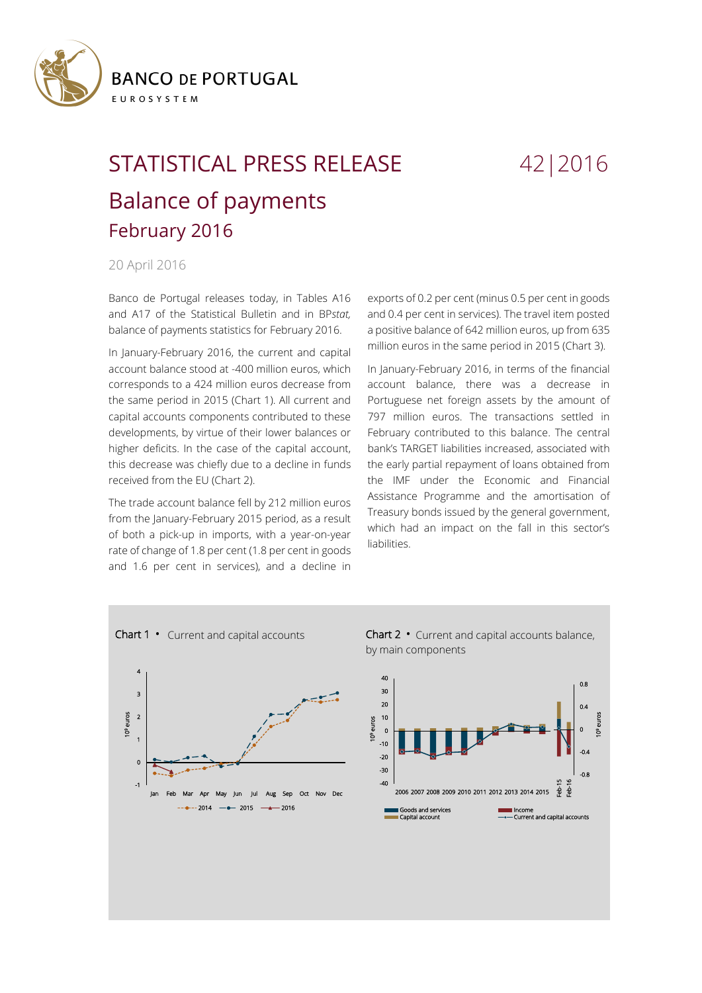

## STATISTICAL PRESS RELEASE 42 | 2016 Balance of payments February 2016

## 20 April 2016

Banco de Portugal releases today, in Tables A16 and A17 of the Statistical Bulletin and in BP*stat,*  balance of payments statistics for February 2016.

In January-February 2016, the current and capital account balance stood at -400 million euros, which corresponds to a 424 million euros decrease from the same period in 2015 (Chart 1). All current and capital accounts components contributed to these developments, by virtue of their lower balances or higher deficits. In the case of the capital account, this decrease was chiefly due to a decline in funds received from the EU (Chart 2).

The trade account balance fell by 212 million euros from the January-February 2015 period, as a result of both a pick-up in imports, with a year-on-year rate of change of 1.8 per cent (1.8 per cent in goods and 1.6 per cent in services), and a decline in

exports of 0.2 per cent (minus 0.5 per cent in goods and 0.4 per cent in services). The travel item posted a positive balance of 642 million euros, up from 635 million euros in the same period in 2015 (Chart 3).

In January-February 2016, in terms of the financial account balance, there was a decrease in Portuguese net foreign assets by the amount of 797 million euros. The transactions settled in February contributed to this balance. The central bank's TARGET liabilities increased, associated with the early partial repayment of loans obtained from the IMF under the Economic and Financial Assistance Programme and the amortisation of Treasury bonds issued by the general government, which had an impact on the fall in this sector's liabilities.